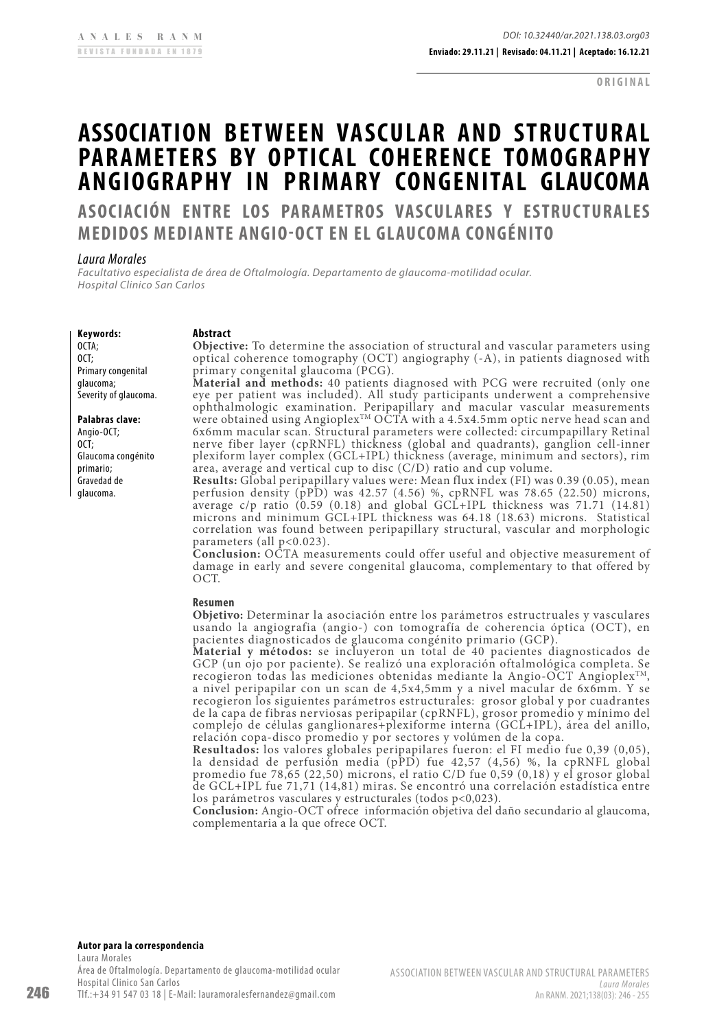**ORIGINAL**

# <span id="page-0-0"></span>**ASSOCIATION BETWEEN VASCULAR AND STRUCTURAL PARAMETERS BY OPTICAL COHERENCE TOMOGRAPHY ANGIOGRAPHY IN PRIMARY CONGENITAL GLAUCOMA**

**ASOCIACIÓN ENTRE LOS PARAMETROS VASCULARES Y ESTRUCTURALES MEDIDOS MEDIANTE ANGIO-OCT EN EL GLAUCOMA CONGÉNITO**

### *Laura Morales*

*Facultativo especialista de área de Oftalmología. Departamento de glaucoma-motilidad ocular. Hospital Clinico San Carlos*

### **Keywords:**

OCTA; OCT; Primary congenital glaucoma; Severity of glaucoma.

### **Palabras clave:**

Angio-OCT; OCT; Glaucoma congénito primario; Gravedad de glaucoma.

#### **Abstract**

**Objective:** To determine the association of structural and vascular parameters using optical coherence tomography (OCT) angiography (-A), in patients diagnosed with primary congenital glaucoma (PCG).

**Material and methods:** 40 patients diagnosed with PCG were recruited (only one eye per patient was included). All study participants underwent a comprehensive ophthalmologic examination. Peripapillary and macular vascular measurements were obtained using Angioplex $^{\text{\tiny{\text{T}M}}}$  OCTA with a 4.5x4.5mm optic nerve head scan and 6x6mm macular scan. Structural parameters were collected: circumpapillary Retinal nerve fiber layer (cpRNFL) thickness (global and quadrants), ganglion cell-inner plexiform layer complex (GCL+IPL) thickness (average, minimum and sectors), rim area, average and vertical cup to disc (C/D) ratio and cup volume.

**Results:** Global peripapillary values were: Mean flux index (FI) was 0.39 (0.05), mean perfusion density (pPD) was 42.57 (4.56) %, cpRNFL was 78.65 (22.50) microns, average c/p ratio (0.59 (0.18) and global GCL+IPL thickness was 71.71 (14.81) microns and minimum GCL+IPL thickness was 64.18 (18.63) microns. Statistical correlation was found between peripapillary structural, vascular and morphologic parameters (all p<0.023).

**Conclusion:** OCTA measurements could offer useful and objective measurement of damage in early and severe congenital glaucoma, complementary to that offered by OCT.

#### **Resumen**

**Objetivo:** Determinar la asociación entre los parámetros estructruales y vasculares usando la angiografia (angio-) con tomografía de coherencia óptica (OCT), en pacientes diagnosticados de glaucoma congénito primario (GCP).

**Material y métodos:** se incluyeron un total de 40 pacientes diagnosticados de GCP (un ojo por paciente). Se realizó una exploración oftalmológica completa. Se recogieron todas las mediciones obtenidas mediante la Angio-OCT Angioplex<sup>TM</sup>, a nivel peripapilar con un scan de 4,5x4,5mm y a nivel macular de 6x6mm. Y se recogieron los siguientes parámetros estructurales: grosor global y por cuadrantes de la capa de fibras nerviosas peripapilar (cpRNFL), grosor promedio y mínimo del complejo de células ganglionares+plexiforme interna (GCL+IPL), área del anillo, relación copa-disco promedio y por sectores y volúmen de la copa.

**Resultados:** los valores globales peripapilares fueron: el FI medio fue 0,39 (0,05), la densidad de perfusión media (pPD) fue 42,57 (4,56) %, la cpRNFL global promedio fue 78,65 (22,50) microns, el ratio C/D fue 0,59 (0,18) y el grosor global de GCL+IPL fue 71,71 (14,81) miras. Se encontró una correlación estadística entre los parámetros vasculares y estructurales (todos p<0,023).

**Conclusion:** Angio-OCT ofrece información objetiva del daño secundario al glaucoma, complementaria a la que ofrece OCT.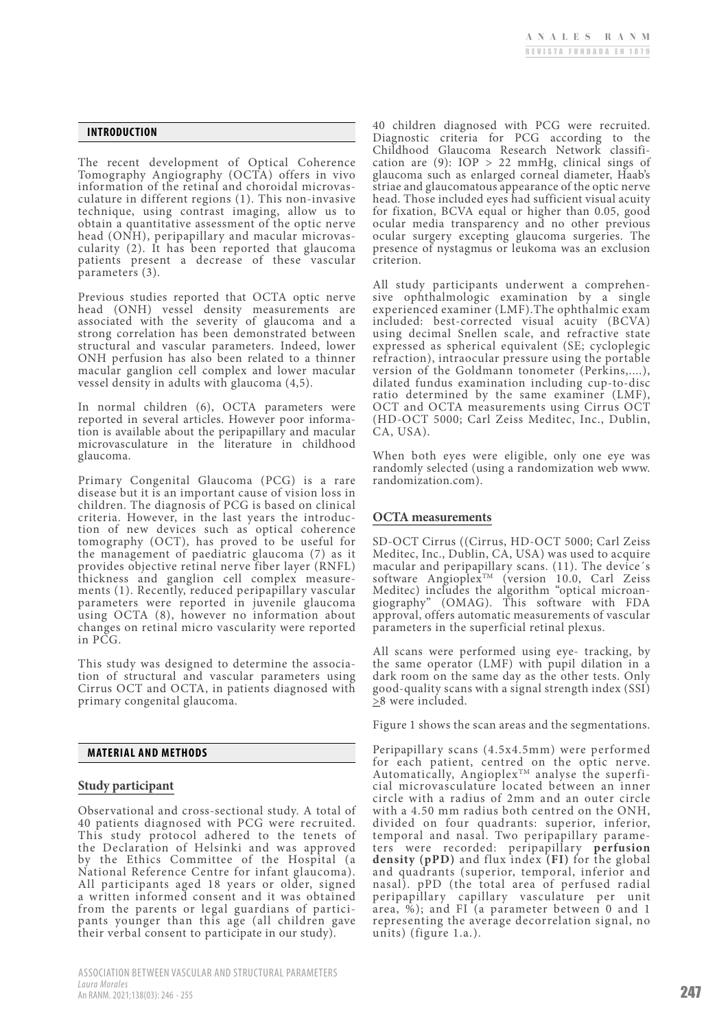#### **INTRODUCTION**

The recent development of Optical Coherence Tomography Angiography (OCTA) offers in vivo information of the retinal and choroidal microvas- culature in different regions (1). This non-invasive technique, using contrast imaging, allow us to obtain a quantitative assessment of the optic nerve cularity (2). It has been reported that glaucoma patients present a decrease of these vascular parameters (3).

Previous studies reported that OCTA optic nerve head (ONH) vessel density measurements are associated with the severity of glaucoma and a strong correlation has been demonstrated between structural and vascular parameters. Indeed, lower ONH perfusion has also been related to a thinner macular ganglion cell complex and lower macular vessel density in adults with glaucoma (4,5).

In normal children (6), OCTA parameters were reported in several articles. However poor informa- tion is available about the peripapillary and macular microvasculature in the literature in childhood glaucoma.

Primary Congenital Glaucoma (PCG) is a rare disease but it is an important cause of vision loss in children. The diagnosis of PCG is based on clinical criteria. However, in the last years the introduction of new devices such as optical coherence tomography (OCT), has proved to be useful for the management of paediatric glaucoma (7) as it provides objective retinal nerve fiber layer (RNFL) thickness and ganglion cell complex measurements (1). Recently, reduced peripapillary vascular parameters were reported in juvenile glaucoma using OCTA (8), however no information about changes on retinal micro vascularity were reported in PCG.

This study was designed to determine the association of structural and vascular parameters using Cirrus OCT and OCTA, in patients diagnosed with primary congenital glaucoma.

#### **MATERIAL AND METHODS**

### **Study participant**

Observational and cross-sectional study. A total of 40 patients diagnosed with PCG were recruited. This study protocol adhered to the tenets of the Declaration of Helsinki and was approved by the Ethics Committee of the Hospital (a National Reference Centre for infant glaucoma). All participants aged 18 years or older, signed a written informed consent and it was obtained from the parents or legal guardians of participants younger than this age (all children gave their verbal consent to participate in our study).

40 children diagnosed with PCG were recruited. Diagnostic criteria for PCG according to the Childhood Glaucoma Research Network classification are (9): IOP > 22 mmHg, clinical sings of glaucoma such as enlarged corneal diameter, Haab's striae and glaucomatous appearance of the optic nerve head. Those included eyes had sufficient visual acuity for fixation, BCVA equal or higher than 0.05, good ocular media transparency and no other previous ocular surgery excepting glaucoma surgeries. The presence of nystagmus or leukoma was an exclusion criterion.

All study participants underwent a comprehen- sive ophthalmologic examination by a single experienced examiner (LMF).The ophthalmic exam included: best-corrected visual acuity (BCVA) using decimal Snellen scale, and refractive state expressed as spherical equivalent (SE; cycloplegic refraction), intraocular pressure using the portable version of the Goldmann tonometer (Perkins,....), dilated fundus examination including cup-to-disc ratio determined by the same examiner (LMF), OCT and OCTA measurements using Cirrus OCT (HD-OCT 5000; Carl Zeiss Meditec, Inc., Dublin, CA, USA).

When both eyes were eligible, only one eye was randomly selected (using a randomization web www. randomization.com).

### **OCTA measurements**

SD-OCT Cirrus ((Cirrus, HD-OCT 5000; Carl Zeiss Meditec, Inc., Dublin, CA, USA) was used to acquire macular and peripapillary scans. (11). The device´s software Angioplex<sup>TM</sup> (version 10.0, Carl Zeiss Meditec) includes the algorithm "optical microangiography" (OMAG). This software with FDA approval, offers automatic measurements of vascular parameters in the superficial retinal plexus.

All scans were performed using eye- tracking, by the same operator (LMF) with pupil dilation in a dark room on the same day as the other tests. Only good-quality scans with a signal strength index (SSI)  $\geq$ 8 were included.

Figure 1 shows the scan areas and the segmentations.

Peripapillary scans (4.5x4.5mm) were performed for each patient, centred on the optic nerve. Automatically, Angioplex<sup>TM</sup> analyse the superficial microvasculature located between an inner circle with a radius of 2mm and an outer circle with a 4.50 mm radius both centred on the ONH, divided on four quadrants: superior, inferior, temporal and nasal. Two peripapillary parameters were recorded: peripapillary perfusion **density (pPD)** and flux index **(FI)** for the global and quadrants (superior, temporal, inferior and nasal). pPD (the total area of perfused radial peripapillary capillary vasculature per unit area, %); and FI (a parameter between 0 and 1 representing the average decorrelation signal, no units) (figure 1.a.).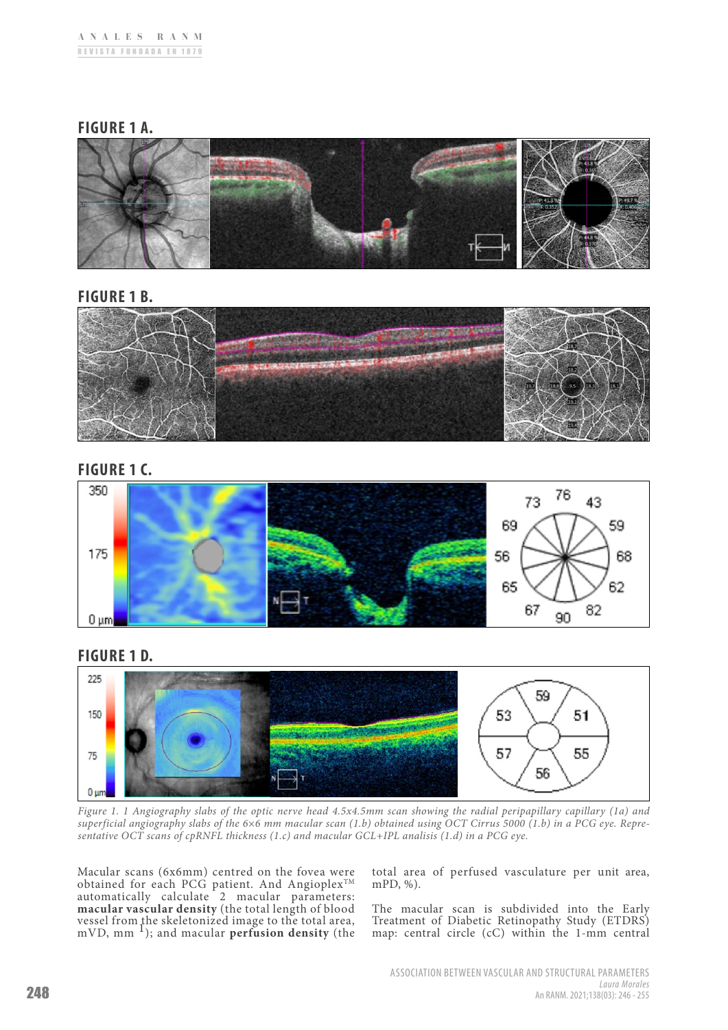# **FIGURE 1 A.**



# **FIGURE 1 B.**



# **FIGURE 1 C.**



# **FIGURE 1 D.**



*Figure 1. 1 Angiography slabs of the optic nerve head 4.5x4.5mm scan showing the radial peripapillary capillary (1a) and superficial angiography slabs of the 6×6 mm macular scan (1.b) obtained using OCT Cirrus 5000 (1.b) in a PCG eye. Representative OCT scans of cpRNFL thickness (1.c) and macular GCL+IPL analisis (1.d) in a PCG eye.*

Macular scans (6x6mm) centred on the fovea were obtained for each PCG patient. And Angioplex<sup>TM</sup> automatically calculate 2 macular parameters: **macular vascular density** (the total length of blood vessel from the skeletonized image to the total area, mVD, mm 1); and macular **perfusion density** (the

total area of perfused vasculature per unit area, mPD, %).

The macular scan is subdivided into the Early Treatment of Diabetic Retinopathy Study (ETDRS) map: central circle (cC) within the 1-mm central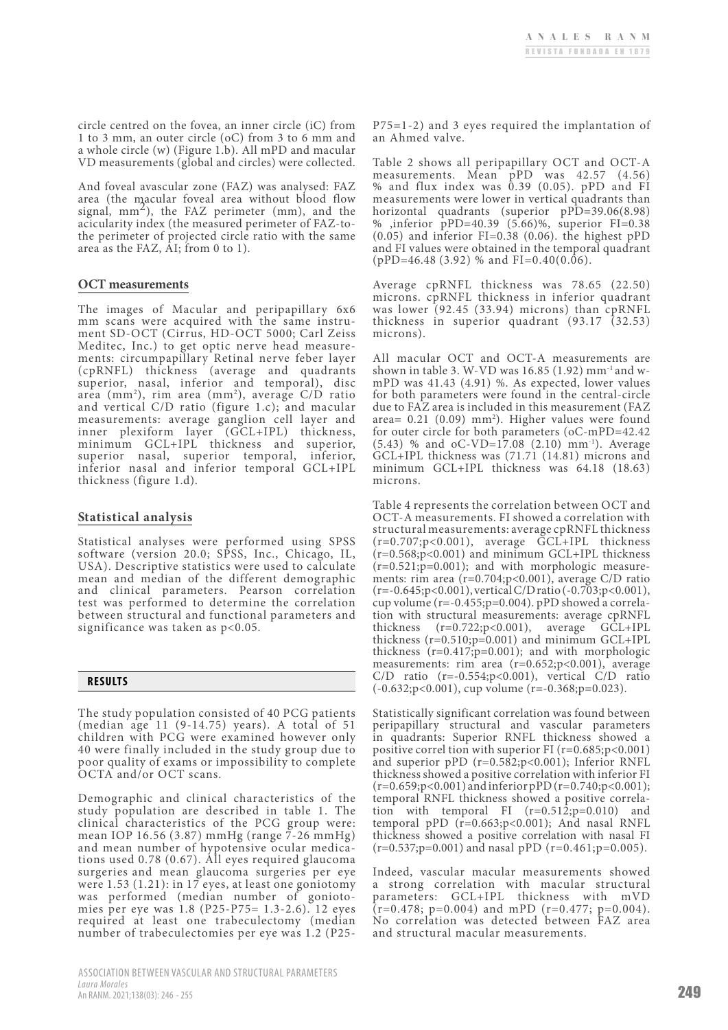circle centred on the fovea, an inner circle (iC) from 1 to 3 mm, an outer circle (oC) from 3 to 6 mm and a whole circle (w) (Figure 1.b). All mPD and macular VD measurements (global and circles) were collected.

And foveal avascular zone (FAZ) was analysed: FAZ area (the macular foveal area without blood flow signal,  $mm<sup>2</sup>$ ), the FAZ perimeter (mm), and the acicularity index (the measured perimeter of FAZ-tothe perimeter of projected circle ratio with the same area as the FAZ, AI; from 0 to 1).

### **OCT measurements**

The images of Macular and peripapillary 6x6 ment SD-OCT (Cirrus, HD-OCT 5000; Carl Zeiss<br>Meditec, Inc.) to get optic nerve head measurements: circumpapillary Retinal nerve feber layer (cpRNFL) thickness (average and quadrants superior, nasal, inferior and temporal), disc area (mm2 ), rim area (mm2 ), average C/D ratio and vertical C/D ratio (figure 1.c); and macular measurements: average ganglion cell layer and inner plexiform layer (GCL+IPL) thickness, minimum GCL+IPL thickness and superior, superior nasal, superior temporal, inferior, inferior nasal and inferior temporal GCL+IPL thickness (figure 1.d).

### **Statistical analysis**

Statistical analyses were performed using SPSS software (version 20.0; SPSS, Inc., Chicago, IL, USA). Descriptive statistics were used to calculate mean and median of the different demographic and clinical parameters. Pearson correlation test was performed to determine the correlation between structural and functional parameters and significance was taken as  $p<0.05$ .



The study population consisted of 40 PCG patients (median age 11 (9-14.75) years). A total of 51 children with PCG were examined however only 40 were finally included in the study group due to poor quality of exams or impossibility to complete OCTA and/or OCT scans.

Demographic and clinical characteristics of the study population are described in table 1. The clinical characteristics of the PCG group were: mean IOP 16.56 (3.87) mmHg (range 7-26 mmHg) and mean number of hypotensive ocular medica- tions used 0.78 (0.67). All eyes required glaucoma surgeries and mean glaucoma surgeries per eye were 1.53 (1.21): in 17 eyes, at least one goniotomy was performed (median number of goniotomies per eye was 1.8 (P25-P75= 1.3-2.6). 12 eyes required at least one trabeculectomy (median number of trabeculectomies per eye was 1.2 (P25P75=1-2) and 3 eyes required the implantation of an Ahmed valve.

Table 2 shows all peripapillary OCT and OCT-A measurements. Mean pPD was 42.57 (4.56) % and flux index was 0.39 (0.05). pPD and FI measurements were lower in vertical quadrants than horizontal quadrants (superior pPD=39.06(8.98) % ,inferior pPD=40.39 (5.66)%, superior FI=0.38  $(0.05)$  and inferior FI=0.38  $(0.06)$ . the highest pPD and FI values were obtained in the temporal quadrant  $(pPD=46.48 (3.92)$  % and FI=0.40(0.06).

Average cpRNFL thickness was 78.65 (22.50) microns. cpRNFL thickness in inferior quadrant was lower (92.45 (33.94) microns) than cpRNFL thickness in superior quadrant (93.17 (32.53) microns).

All macular OCT and OCT-A measurements are shown in table 3. W-VD was 16.85 (1.92) mm-1 and wmPD was 41.43 (4.91) %. As expected, lower values for both parameters were found in the central-circle due to FAZ area is included in this measurement (FAZ area=  $0.21$   $(0.09)$  mm<sup>2</sup>). Higher values were found for outer circle for both parameters (oC-mPD=42.42 (5.43) % and oC-VD=17.08 (2.10) mm-1). Average GCL+IPL thickness was (71.71 (14.81) microns and minimum GCL+IPL thickness was 64.18 (18.63) microns.

Table 4 represents the correlation between OCT and OCT-A measurements. FI showed a correlation with structural measurements: average cpRNFL thickness  $(r=0.707; p<0.001)$ , average  $\tilde{GCL}+IPL$  thickness (r=0.568;p<0.001) and minimum GCL+IPL thickness  $(r=0.521; p=0.001)$ ; and with morphologic measurements: rim area (r=0.704;p<0.001), average C/D ratio (r=-0.645;p<0.001), vertical C/D ratio (-0.703;p<0.001), cup volume (r=-0.455;p=0.004). pPD showed a correlation with structural measurements: average cpRNFL<br>thickness  $(r=0.722; p<0.001)$ , average GCL+IPL thickness  $(r=0.722;p<0.001)$ , average thickness (r=0.510;p=0.001) and minimum GCL+IPL thickness  $(r=0.417; p=0.001)$ ; and with morphologic measurements: rim area (r=0.652;p<0.001), average  $C/D$  ratio (r=-0.554;p<0.001), vertical  $C/D$  ratio (-0.632;p<0.001), cup volume (r=-0.368;p=0.023).

Statistically significant correlation was found between peripapillary structural and vascular parameters in quadrants: Superior RNFL thickness showed a positive correl tion with superior FI (r=0.685;p<0.001) and superior pPD (r=0.582;p<0.001); Inferior RNFL thickness showed a positive correlation with inferior FI  $(r=0.659; p<0.001)$  and inferior pPD  $(r=0.740; p<0.001)$ ; temporal RNFL thickness showed a positive correlation with temporal FI  $(r=0.512;p=0.010)$  and temporal pPD  $(r=0.663; p<0.001)$ ; And nasal RNFL thickness showed a positive correlation with nasal FI  $(r=0.537;p=0.001)$  and nasal pPD  $(r=0.461;p=0.005)$ .

Indeed, vascular macular measurements showed a strong correlation with macular structural parameters: GCL+IPL thickness with mVD  $(r=0.478; p=0.004)$  and mPD  $(r=0.477; p=0.004)$ . No correlation was detected between FAZ area and structural macular measurements.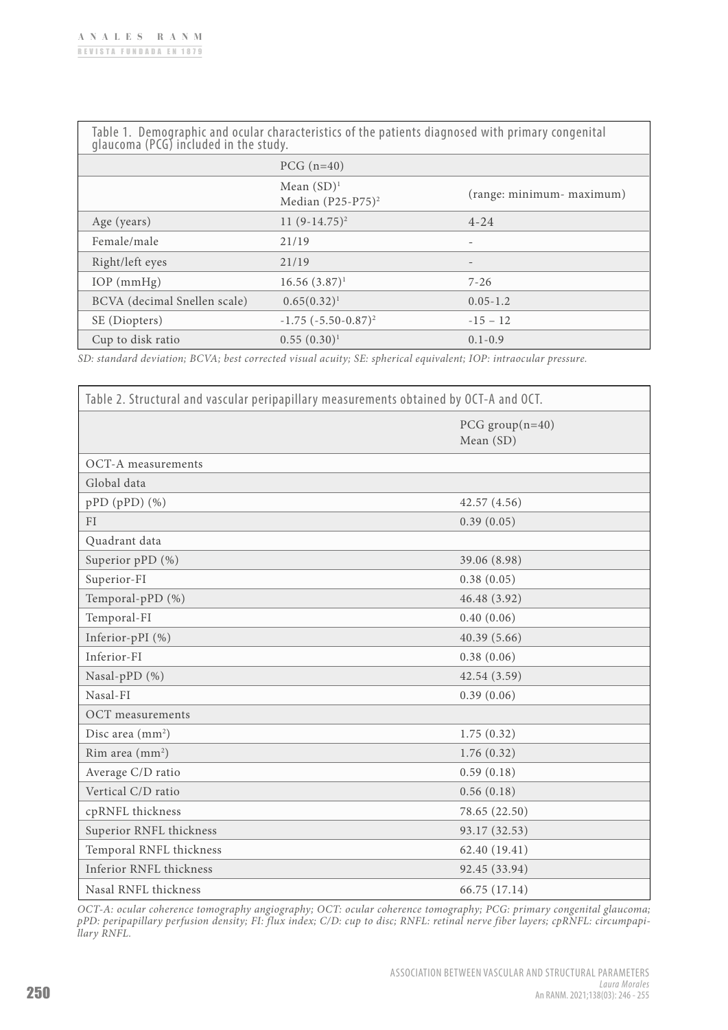| Table 1. Demographic and ocular characteristics of the patients diagnosed with primary congenital glaucoma (PCG) included in the study. |                                       |                           |  |  |  |
|-----------------------------------------------------------------------------------------------------------------------------------------|---------------------------------------|---------------------------|--|--|--|
|                                                                                                                                         | $PCG$ (n=40)                          |                           |  |  |  |
|                                                                                                                                         | Mean $(SD)^1$<br>Median $(P25-P75)^2$ | (range: minimum- maximum) |  |  |  |
| Age (years)                                                                                                                             | 11 $(9-14.75)^2$                      | $4 - 24$                  |  |  |  |
| Female/male                                                                                                                             | 21/19                                 |                           |  |  |  |
| Right/left eyes                                                                                                                         | 21/19                                 |                           |  |  |  |
| $IOP$ (mmHg)                                                                                                                            | $16.56(3.87)^1$                       | $7 - 26$                  |  |  |  |
| BCVA (decimal Snellen scale)                                                                                                            | $0.65(0.32)^1$                        | $0.05 - 1.2$              |  |  |  |
| SE (Diopters)                                                                                                                           | $-1.75$ $(-5.50-0.87)^2$              | $-15 - 12$                |  |  |  |
| Cup to disk ratio                                                                                                                       | $0.55(0.30)^1$                        | $0.1 - 0.9$               |  |  |  |

*SD: standard deviation; BCVA; best corrected visual acuity; SE: spherical equivalent; IOP: intraocular pressure.*

| Table 2. Structural and vascular peripapillary measurements obtained by OCT-A and OCT. |                                |  |  |  |
|----------------------------------------------------------------------------------------|--------------------------------|--|--|--|
|                                                                                        | PCG $group(n=40)$<br>Mean (SD) |  |  |  |
| OCT-A measurements                                                                     |                                |  |  |  |
| Global data                                                                            |                                |  |  |  |
| pPD (pPD) (%)                                                                          | 42.57(4.56)                    |  |  |  |
| FI                                                                                     | 0.39(0.05)                     |  |  |  |
| Quadrant data                                                                          |                                |  |  |  |
| Superior pPD (%)                                                                       | 39.06 (8.98)                   |  |  |  |
| Superior-FI                                                                            | 0.38(0.05)                     |  |  |  |
| Temporal-pPD (%)                                                                       | 46.48 (3.92)                   |  |  |  |
| Temporal-FI                                                                            | 0.40(0.06)                     |  |  |  |
| Inferior-pPI (%)                                                                       | 40.39(5.66)                    |  |  |  |
| Inferior-FI                                                                            | 0.38(0.06)                     |  |  |  |
| Nasal-pPD (%)                                                                          | 42.54(3.59)                    |  |  |  |
| Nasal-FI                                                                               | 0.39(0.06)                     |  |  |  |
| <b>OCT</b> measurements                                                                |                                |  |  |  |
| Disc area (mm <sup>2</sup> )                                                           | 1.75(0.32)                     |  |  |  |
| Rim area (mm <sup>2</sup> )                                                            | 1.76(0.32)                     |  |  |  |
| Average C/D ratio                                                                      | 0.59(0.18)                     |  |  |  |
| Vertical C/D ratio                                                                     | 0.56(0.18)                     |  |  |  |
| cpRNFL thickness                                                                       | 78.65 (22.50)                  |  |  |  |
| Superior RNFL thickness                                                                | 93.17 (32.53)                  |  |  |  |
| Temporal RNFL thickness                                                                | 62.40 (19.41)                  |  |  |  |
| Inferior RNFL thickness                                                                | 92.45 (33.94)                  |  |  |  |
| Nasal RNFL thickness                                                                   | 66.75 (17.14)                  |  |  |  |

*OCT-A: ocular coherence tomography angiography; OCT: ocular coherence tomography; PCG: primary congenital glaucoma; pPD: peripapillary perfusion density; FI: flux index; C/D: cup to disc; RNFL: retinal nerve fiber layers; cpRNFL: circumpapillary RNFL.*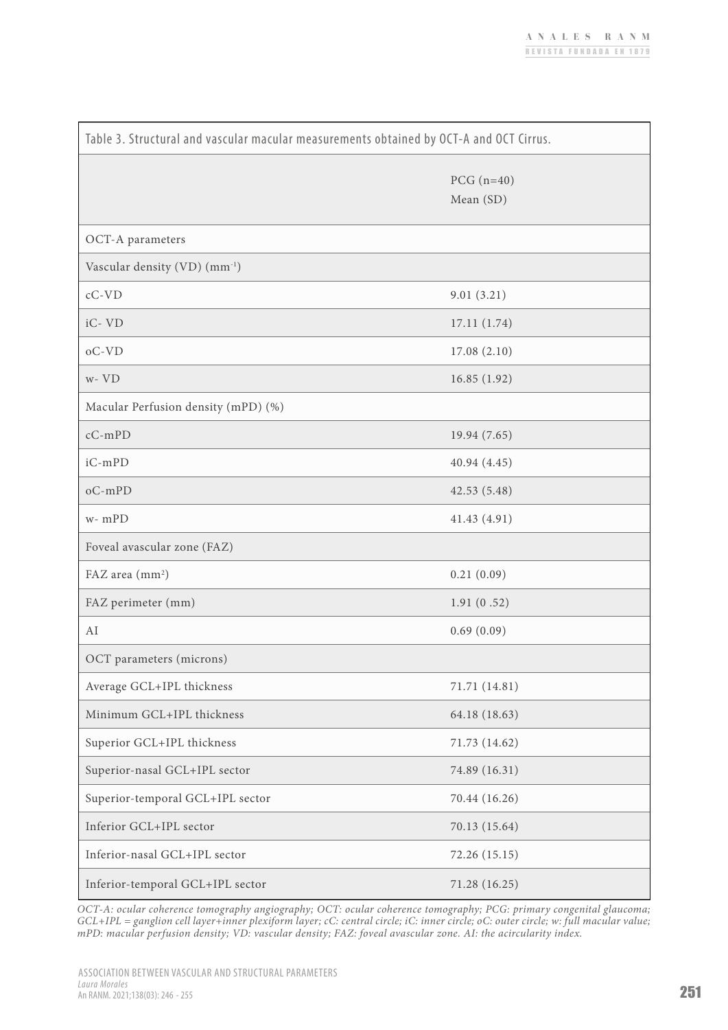| Table 3. Structural and vascular macular measurements obtained by OCT-A and OCT Cirrus. |                           |  |  |  |
|-----------------------------------------------------------------------------------------|---------------------------|--|--|--|
|                                                                                         | PCG $(n=40)$<br>Mean (SD) |  |  |  |
| OCT-A parameters                                                                        |                           |  |  |  |
| Vascular density (VD) (mm <sup>-1</sup> )                                               |                           |  |  |  |
| $cC$ - $VD$                                                                             | 9.01(3.21)                |  |  |  |
| iC-VD                                                                                   | 17.11(1.74)               |  |  |  |
| $oC-VD$                                                                                 | 17.08(2.10)               |  |  |  |
| $W - VD$                                                                                | 16.85(1.92)               |  |  |  |
| Macular Perfusion density (mPD) (%)                                                     |                           |  |  |  |
| $cC$ -mPD                                                                               | 19.94 (7.65)              |  |  |  |
| iC-mPD                                                                                  | 40.94(4.45)               |  |  |  |
| $oC$ -mPD                                                                               | 42.53(5.48)               |  |  |  |
| $w - mPD$                                                                               | 41.43 (4.91)              |  |  |  |
| Foveal avascular zone (FAZ)                                                             |                           |  |  |  |
| FAZ area (mm <sup>2</sup> )                                                             | 0.21(0.09)                |  |  |  |
| FAZ perimeter (mm)                                                                      | 1.91(0.52)                |  |  |  |
| AI                                                                                      | 0.69(0.09)                |  |  |  |
| OCT parameters (microns)                                                                |                           |  |  |  |
| Average GCL+IPL thickness                                                               | 71.71 (14.81)             |  |  |  |
| Minimum GCL+IPL thickness                                                               | 64.18 (18.63)             |  |  |  |
| Superior GCL+IPL thickness                                                              | 71.73 (14.62)             |  |  |  |
| Superior-nasal GCL+IPL sector                                                           | 74.89 (16.31)             |  |  |  |
| Superior-temporal GCL+IPL sector                                                        | 70.44 (16.26)             |  |  |  |
| Inferior GCL+IPL sector                                                                 | 70.13 (15.64)             |  |  |  |
| Inferior-nasal GCL+IPL sector                                                           | 72.26 (15.15)             |  |  |  |
| Inferior-temporal GCL+IPL sector                                                        | 71.28 (16.25)             |  |  |  |

*OCT-A: ocular coherence tomography angiography; OCT: ocular coherence tomography; PCG: primary congenital glaucoma; GCL+IPL = ganglion cell layer+inner plexiform layer; cC: central circle; iC: inner circle; oC: outer circle; w: full macular value; mPD: macular perfusion density; VD: vascular density; FAZ: foveal avascular zone. AI: the acircularity index.*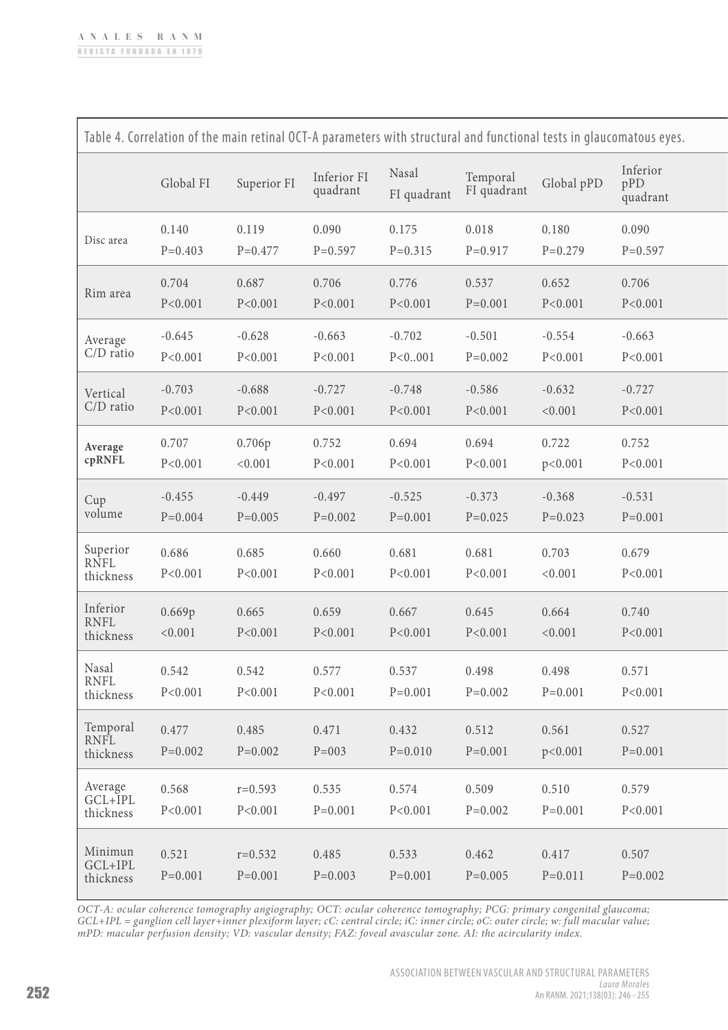| Table 4. Correlation of the main retinal OCT-A parameters with structural and functional tests in glaucomatous eyes. |                         |                          |                         |                         |                         |                       |                             |
|----------------------------------------------------------------------------------------------------------------------|-------------------------|--------------------------|-------------------------|-------------------------|-------------------------|-----------------------|-----------------------------|
|                                                                                                                      | Global FI               | Superior FI              | Inferior FI<br>quadrant | Nasal<br>FI quadrant    | Temporal<br>FI quadrant | Global pPD            | Inferior<br>pPD<br>quadrant |
| Disc area                                                                                                            | 0.140<br>$P=0.403$      | 0.119<br>$P = 0.477$     | 0.090<br>$P=0.597$      | 0.175<br>$P = 0.315$    | 0.018<br>$P=0.917$      | 0.180<br>$P=0.279$    | 0.090<br>$P=0.597$          |
| Rim area                                                                                                             | 0.704<br>P < 0.001      | 0.687<br>P < 0.001       | 0.706<br>P < 0.001      | 0.776<br>P < 0.001      | 0.537<br>$P=0.001$      | 0.652<br>P < 0.001    | 0.706<br>P < 0.001          |
| Average<br>$C/D$ ratio                                                                                               | $-0.645$<br>P < 0.001   | $-0.628$<br>P < 0.001    | $-0.663$<br>P < 0.001   | $-0.702$<br>P < 0.001   | $-0.501$<br>$P=0.002$   | $-0.554$<br>P < 0.001 | $-0.663$<br>P < 0.001       |
| Vertical<br>$C/D$ ratio                                                                                              | $-0.703$<br>P < 0.001   | $-0.688$<br>P < 0.001    | $-0.727$<br>P < 0.001   | $-0.748$<br>P < 0.001   | $-0.586$<br>P < 0.001   | $-0.632$<br>< 0.001   | $-0.727$<br>P < 0.001       |
| Average<br>cpRNFL                                                                                                    | 0.707<br>P < 0.001      | 0.706p<br>< 0.001        | 0.752<br>P < 0.001      | 0.694<br>P < 0.001      | 0.694<br>P < 0.001      | 0.722<br>p < 0.001    | 0.752<br>P < 0.001          |
| Cup<br>volume                                                                                                        | $-0.455$<br>$P = 0.004$ | $-0.449$<br>$P=0.005$    | $-0.497$<br>$P=0.002$   | $-0.525$<br>$P = 0.001$ | $-0.373$<br>$P=0.025$   | $-0.368$<br>$P=0.023$ | $-0.531$<br>$P=0.001$       |
| Superior<br>RNFL<br>thickness                                                                                        | 0.686<br>P < 0.001      | 0.685<br>P < 0.001       | 0.660<br>P < 0.001      | 0.681<br>P < 0.001      | 0.681<br>P < 0.001      | 0.703<br>< 0.001      | 0.679<br>P < 0.001          |
| Inferior<br><b>RNFL</b><br>thickness                                                                                 | 0.669p<br>< 0.001       | 0.665<br>P < 0.001       | 0.659<br>P < 0.001      | 0.667<br>P < 0.001      | 0.645<br>P < 0.001      | 0.664<br>< 0.001      | 0.740<br>P < 0.001          |
| Nasal<br><b>RNFL</b><br>thickness                                                                                    | 0.542<br>P < 0.001      | 0.542<br>P < 0.001       | 0.577<br>P < 0.001      | 0.537<br>$P = 0.001$    | 0.498<br>$P=0.002$      | 0.498<br>$P=0.001$    | 0.571<br>P < 0.001          |
| Temporal<br><b>RNFL</b><br>thickness                                                                                 | 0.477<br>$P=0.002$      | 0.485<br>$P=0.002$       | 0.471<br>$P = 003$      | 0.432<br>$P=0.010$      | 0.512<br>$P=0.001$      | 0.561<br>p < 0.001    | 0.527<br>$P=0.001$          |
| Average<br>GCL+IPL<br>thickness                                                                                      | 0.568<br>P < 0.001      | $r=0.593$<br>P < 0.001   | 0.535<br>$P=0.001$      | 0.574<br>P < 0.001      | 0.509<br>$P=0.002$      | 0.510<br>$P=0.001$    | 0.579<br>P < 0.001          |
| Minimun<br>GCL+IPL<br>thickness                                                                                      | 0.521<br>$P=0.001$      | $r = 0.532$<br>$P=0.001$ | 0.485<br>$P=0.003$      | 0.533<br>$P=0.001$      | 0.462<br>$P=0.005$      | 0.417<br>$P = 0.011$  | 0.507<br>$P = 0.002$        |

*OCT-A: ocular coherence tomography angiography; OCT: ocular coherence tomography; PCG: primary congenital glaucoma; GCL+IPL = ganglion cell layer+inner plexiform layer; cC: central circle; iC: inner circle; oC: outer circle; w: full macular value; mPD: macular perfusion density; VD: vascular density; FAZ: foveal avascular zone. AI: the acircularity index.*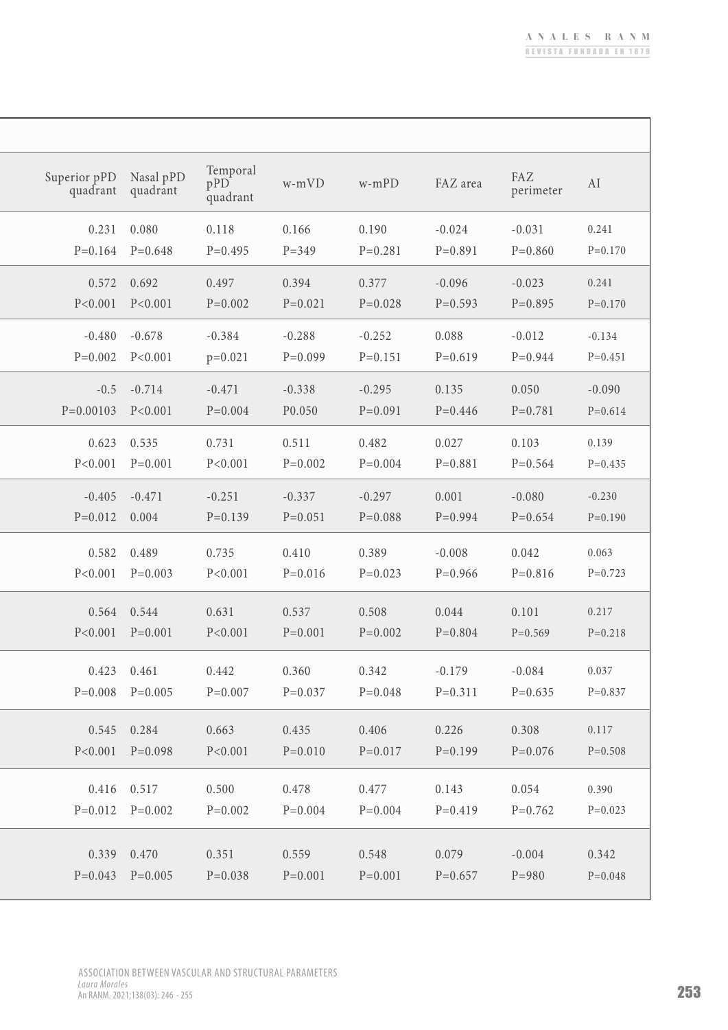٦

| Superior pPD<br>quadrant | Nasal pPD<br>quadrant | Temporal<br>pPD<br>quadrant | w-mVD              | $w$ -mPD             | FAZ area           | FAZ<br>perimeter   | AI                 |
|--------------------------|-----------------------|-----------------------------|--------------------|----------------------|--------------------|--------------------|--------------------|
| 0.231                    | 0.080                 | 0.118                       | 0.166              | 0.190                | $-0.024$           | $-0.031$           | 0.241              |
| $P = 0.164$              | $P=0.648$             | $P=0.495$                   | $P = 349$          | $P = 0.281$          | $P=0.891$          | $P=0.860$          | $P=0.170$          |
| 0.572                    | 0.692                 | 0.497                       | 0.394              | 0.377                | $-0.096$           | $-0.023$           | 0.241              |
| P < 0.001                | P < 0.001             | $P=0.002$                   | $P = 0.021$        | $P = 0.028$          | $P=0.593$          | $P=0.895$          | $P=0.170$          |
| $-0.480$                 | $-0.678$              | $-0.384$                    | $-0.288$           | $-0.252$             | 0.088              | $-0.012$           | $-0.134$           |
| $P = 0.002$              | P < 0.001             | $p=0.021$                   | $P=0.099$          | $P=0.151$            | $P=0.619$          | $P=0.944$          | $P=0.451$          |
| $-0.5$                   | $-0.714$              | $-0.471$                    | $-0.338$           | $-0.295$             | 0.135              | 0.050              | $-0.090$           |
| $P=0.00103$              | P < 0.001             | $P = 0.004$                 | P0.050             | $P=0.091$            | $P=0.446$          | $P = 0.781$        | $P=0.614$          |
| 0.623                    | 0.535                 | 0.731                       | 0.511              | 0.482                | 0.027              | 0.103              | 0.139              |
| P < 0.001                | $P = 0.001$           | P < 0.001                   | $P = 0.002$        | $P = 0.004$          | $P=0.881$          | $P=0.564$          | $P=0.435$          |
| $-0.405$                 | $-0.471$              | $-0.251$                    | $-0.337$           | $-0.297$             | 0.001              | $-0.080$           | $-0.230$           |
| $P=0.012$                | 0.004                 | $P=0.139$                   | $P = 0.051$        | $P = 0.088$          | $P=0.994$          | $P = 0.654$        | $P=0.190$          |
| 0.582                    | 0.489                 | 0.735                       | 0.410              | 0.389                | $-0.008$           | 0.042              | 0.063              |
| P < 0.001                | $P=0.003$             | P < 0.001                   | $P=0.016$          | $P=0.023$            | $P=0.966$          | $P=0.816$          | $P=0.723$          |
| 0.564                    | 0.544                 | 0.631                       | 0.537              | 0.508                | 0.044              | 0.101              | 0.217              |
| P < 0.001                | $P=0.001$             | P < 0.001                   | $P = 0.001$        | $P = 0.002$          | $P = 0.804$        | $P=0.569$          | $P=0.218$          |
| 0.423                    | 0.461                 | 0.442                       | 0.360              | 0.342                | $-0.179$           | $-0.084$           | 0.037              |
|                          | $P=0.008$ $P=0.005$   | $P=0.007$                   | $P=0.037$          | $P=0.048$            | $P=0.311$          | $P=0.635$          | $P=0.837$          |
|                          |                       |                             |                    |                      |                    |                    |                    |
| 0.545<br>P < 0.001       | 0.284<br>$P=0.098$    | 0.663<br>P < 0.001          | 0.435<br>$P=0.010$ | 0.406<br>$P = 0.017$ | 0.226<br>$P=0.199$ | 0.308<br>$P=0.076$ | 0.117<br>$P=0.508$ |
|                          |                       |                             |                    |                      |                    |                    |                    |
|                          | 0.416 0.517           | 0.500                       | 0.478              | 0.477                | 0.143              | 0.054              | 0.390              |
|                          | $P=0.012$ $P=0.002$   | $P=0.002$                   | $P=0.004$          | $P = 0.004$          | $P=0.419$          | $P=0.762$          | $P=0.023$          |
| 0.339                    | 0.470                 | 0.351                       | 0.559              | 0.548                | 0.079              | $-0.004$           | 0.342              |
|                          | $P=0.043$ $P=0.005$   | $P=0.038$                   | $P=0.001$          | $P=0.001$            | $P=0.657$          | $P = 980$          | $P=0.048$          |
|                          |                       |                             |                    |                      |                    |                    |                    |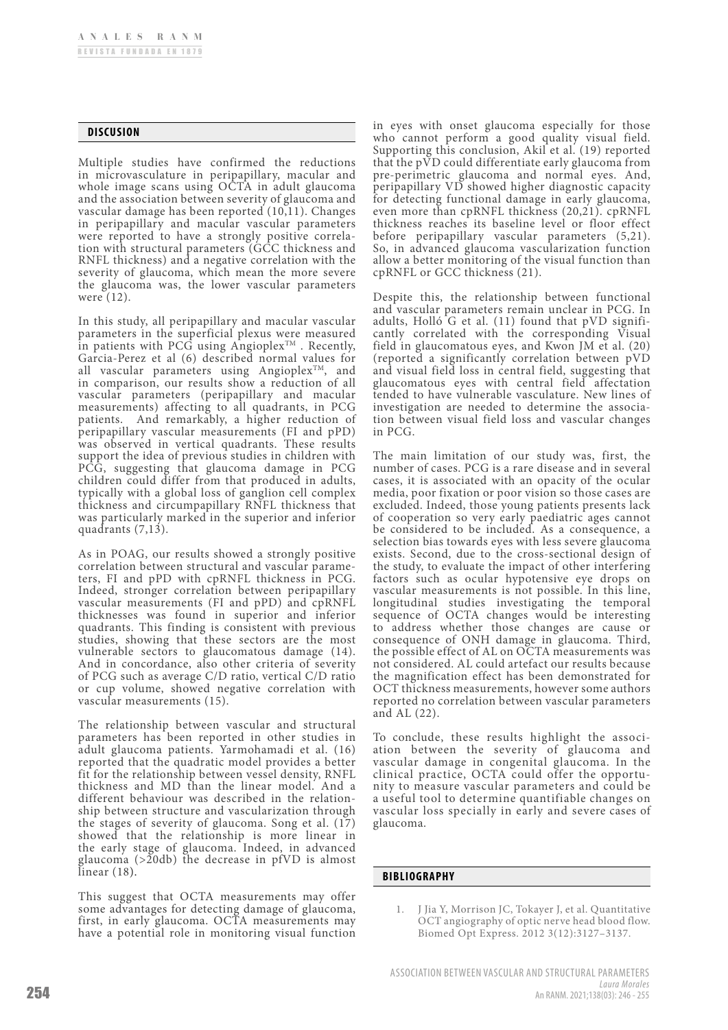### **DISCUSION**

Multiple studies have confirmed the reductions in microvasculature in peripapillary, macular and whole image scans using OCTA in adult glaucoma and the association between severity of glaucoma and vascular damage has been reported (10,11). Changes in peripapillary and macular vascular parameters<br>were reported to have a strongly positive correlation with structural parameters (GCC thickness and RNFL thickness) and a negative correlation with the severity of glaucoma, which mean the more severe the glaucoma was, the lower vascular parameters were (12).

In this study, all peripapillary and macular vascular parameters in the superficial plexus were measured in patients with PCG using Angioplex<sup>TM</sup>. Recently, Garcia-Perez et al (6) described normal values for all vascular parameters using Angioplex<sup>TM</sup>, and in comparison, our results show a reduction of all vascular parameters (peripapillary and macular measurements) affecting to all quadrants, in PCG patients. And remarkably, a higher reduction of peripapillary vascular measurements (FI and pPD) was observed in vertical quadrants. These results support the idea of previous studies in children with PCG, suggesting that glaucoma damage in PCG children could differ from that produced in adults, typically with a global loss of ganglion cell complex thickness and circumpapillary RNFL thickness that was particularly marked in the superior and inferior quadrants (7,13).

As in POAG, our results showed a strongly positive correlation between structural and vascular parameters, FI and pPD with cpRNFL thickness in PCG. Indeed, stronger correlation between peripapillary vascular measurements (FI and pPD) and cpRNFL thicknesses was found in superior and inferior quadrants. This finding is consistent with previous studies, showing that these sectors are the most vulnerable sectors to glaucomatous damage (14). And in concordance, also other criteria of severity of PCG such as average C/D ratio, vertical C/D ratio or cup volume, showed negative correlation with vascular measurements (15).

The relationship between vascular and structural parameters has been reported in other studies in adult glaucoma patients. Yarmohamadi et al. (16) reported that the quadratic model provides a better fit for the relationship between vessel density, RNFL thickness and MD than the linear model. And a different behaviour was described in the relationship between structure and vascularization through the stages of severity of glaucoma. Song et al.  $(17)$ showed that the relationship is more linear in the early stage of glaucoma. Indeed, in advanced glaucoma (>20db) the decrease in pfVD is almost linear (18).

This suggest that OCTA measurements may offer some advantages for detecting damage of glaucoma, first, in early glaucoma. OCTA measurements may have a potential role in monitoring visual function

in eyes with onset glaucoma especially for those who cannot perform a good quality visual field. Supporting this conclusion, Akil et al. (19) reported that the pVD could differentiate early glaucoma from pre-perimetric glaucoma and normal eyes. And, peripapillary VD showed higher diagnostic capacity for detecting functional damage in early glaucoma, even more than cpRNFL thickness (20,21). cpRNFL thickness reaches its baseline level or floor effect before peripapillary vascular parameters (5,21). So, in advanced glaucoma vascularization function allow a better monitoring of the visual function than cpRNFL or GCC thickness (21).

Despite this, the relationship between functional and vascular parameters remain unclear in PCG. In cantly correlated with the corresponding Visual field in glaucomatous eyes, and Kwon JM et al. (20) (reported a significantly correlation between pVD and visual field loss in central field, suggesting that glaucomatous eyes with central field affectation tended to have vulnerable vasculature. New lines of tion between visual field loss and vascular changes in PCG.

The main limitation of our study was, first, the number of cases. PCG is a rare disease and in several cases, it is associated with an opacity of the ocular media, poor fixation or poor vision so those cases are excluded. Indeed, those young patients presents lack of cooperation so very early paediatric ages cannot be considered to be included. As a consequence, a selection bias towards eyes with less severe glaucoma exists. Second, due to the cross-sectional design of the study, to evaluate the impact of other interfering factors such as ocular hypotensive eye drops on vascular measurements is not possible. In this line, longitudinal studies investigating the temporal sequence of OCTA changes would be interesting to address whether those changes are cause or consequence of ONH damage in glaucoma. Third, the possible effect of AL on OCTA measurements was not considered. AL could artefact our results because the magnification effect has been demonstrated for OCT thickness measurements, however some authors reported no correlation between vascular parameters and AL (22).

To conclude, these results highlight the association between the severity of glaucoma and vascular damage in congenital glaucoma. In the clinical practice, OCTA could offer the opportunity to measure vascular parameters and could be a useful tool to determine quantifiable changes on vascular loss specially in early and severe cases of glaucoma.

### **BIBLIOGRAPHY**

1. J Jia Y, Morrison JC, Tokayer J, et al. Quantitative OCT angiography of optic nerve head blood flow. Biomed Opt Express. 2012 3(12):3127–3137.